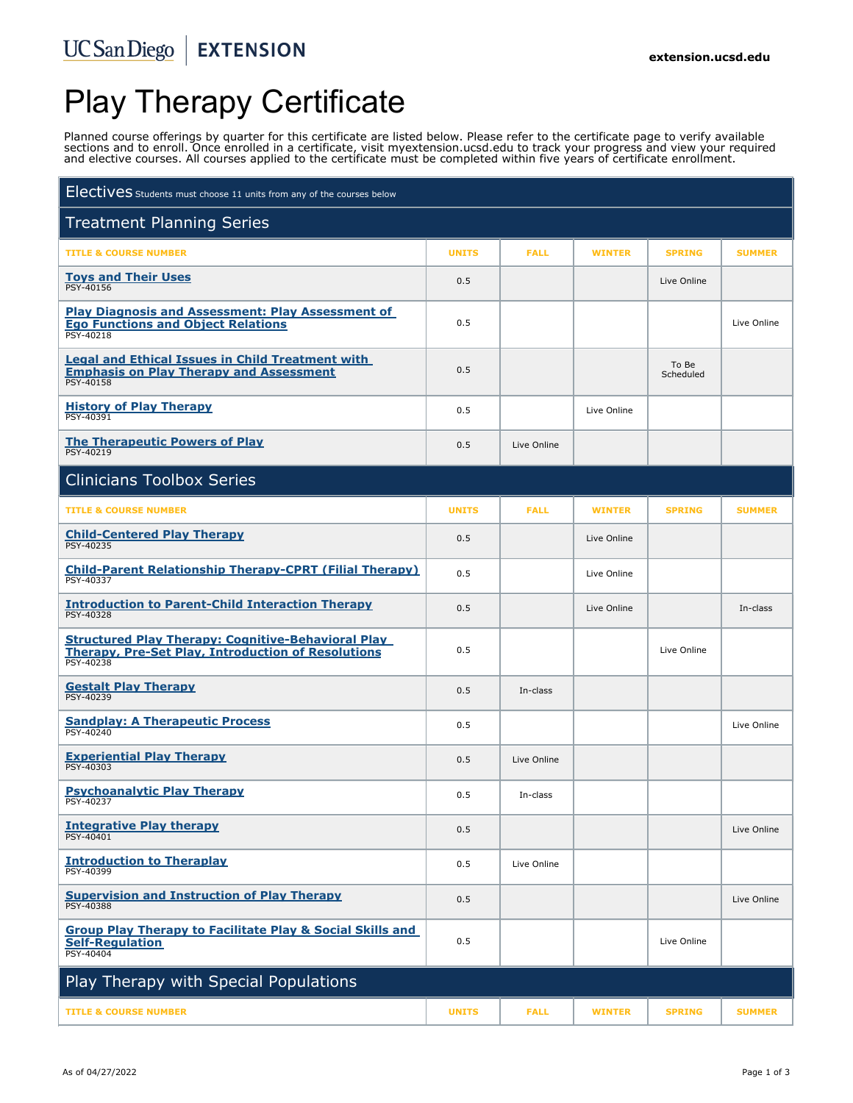#### UCSanDiego | EXTENSION

# Play Therapy Certificate

Planned course offerings by quarter for this certificate are listed below. Please refer to the certificate page to verify available sections and to enroll. Once enrolled in a certificate, visit myextension.ucsd.edu to track your progress and view your required and elective courses. All courses applied to the certificate must be completed within five years of certificate enrollment.

| Electives students must choose 11 units from any of the courses below                                                               |              |             |               |                    |               |  |  |  |
|-------------------------------------------------------------------------------------------------------------------------------------|--------------|-------------|---------------|--------------------|---------------|--|--|--|
| <b>Treatment Planning Series</b>                                                                                                    |              |             |               |                    |               |  |  |  |
| <b>TITLE &amp; COURSE NUMBER</b>                                                                                                    | <b>UNITS</b> | <b>FALL</b> | <b>WINTER</b> | <b>SPRING</b>      | <b>SUMMER</b> |  |  |  |
| <b>Toys and Their Uses</b><br>PSY-40156                                                                                             | 0.5          |             |               | Live Online        |               |  |  |  |
| <b>Play Diagnosis and Assessment: Play Assessment of</b><br><b>Ego Functions and Object Relations</b><br>PSY-40218                  | 0.5          |             |               |                    | Live Online   |  |  |  |
| <b>Legal and Ethical Issues in Child Treatment with</b><br><b>Emphasis on Play Therapy and Assessment</b><br><b>PSY-40158</b>       | 0.5          |             |               | To Be<br>Scheduled |               |  |  |  |
| <b>History of Play Therapy</b><br>PSY-40391                                                                                         | 0.5          |             | Live Online   |                    |               |  |  |  |
| <b>The Therapeutic Powers of Play</b><br>PSY-40219                                                                                  | 0.5          | Live Online |               |                    |               |  |  |  |
| <b>Clinicians Toolbox Series</b>                                                                                                    |              |             |               |                    |               |  |  |  |
| <b>TITLE &amp; COURSE NUMBER</b>                                                                                                    | <b>UNITS</b> | <b>FALL</b> | <b>WINTER</b> | <b>SPRING</b>      | <b>SUMMER</b> |  |  |  |
| <b>Child-Centered Play Therapy</b><br>PSY-40235                                                                                     | 0.5          |             | Live Online   |                    |               |  |  |  |
| <b>Child-Parent Relationship Therapy-CPRT (Filial Therapy)</b><br>PSY-40337                                                         | 0.5          |             | Live Online   |                    |               |  |  |  |
| <b>Introduction to Parent-Child Interaction Therapy</b><br>PSY-40328                                                                | 0.5          |             | Live Online   |                    | In-class      |  |  |  |
| <b>Structured Play Therapy: Cognitive-Behavioral Play</b><br><b>Therapy, Pre-Set Play, Introduction of Resolutions</b><br>PSY-40238 | 0.5          |             |               | Live Online        |               |  |  |  |
| <b>Gestalt Play Therapy</b><br>PSY-40239                                                                                            | 0.5          | In-class    |               |                    |               |  |  |  |
| <b>Sandplay: A Therapeutic Process</b><br>PSY-40240                                                                                 | 0.5          |             |               |                    | Live Online   |  |  |  |
| <b>Experiential Play Therapy</b><br>PSY-40303                                                                                       | 0.5          | Live Online |               |                    |               |  |  |  |
| <b>Psychoanalytic Play Therapy</b><br>PSY-40237                                                                                     | 0.5          | In-class    |               |                    |               |  |  |  |
| <b>Integrative Play therapy</b><br>PSY-40401                                                                                        | 0.5          |             |               |                    | Live Online   |  |  |  |
| <b>Introduction to Theraplay</b><br>PSY-40399                                                                                       | 0.5          | Live Online |               |                    |               |  |  |  |
| <b>Supervision and Instruction of Play Therapy</b><br>PSY-40388                                                                     | 0.5          |             |               |                    | Live Online   |  |  |  |
| <b>Group Play Therapy to Facilitate Play &amp; Social Skills and</b><br><b>Self-Regulation</b><br>PSY-40404                         | 0.5          |             |               | Live Online        |               |  |  |  |
| Play Therapy with Special Populations                                                                                               |              |             |               |                    |               |  |  |  |
| <b>TITLE &amp; COURSE NUMBER</b>                                                                                                    | <b>UNITS</b> | <b>FALL</b> | <b>WINTER</b> | <b>SPRING</b>      | <b>SUMMER</b> |  |  |  |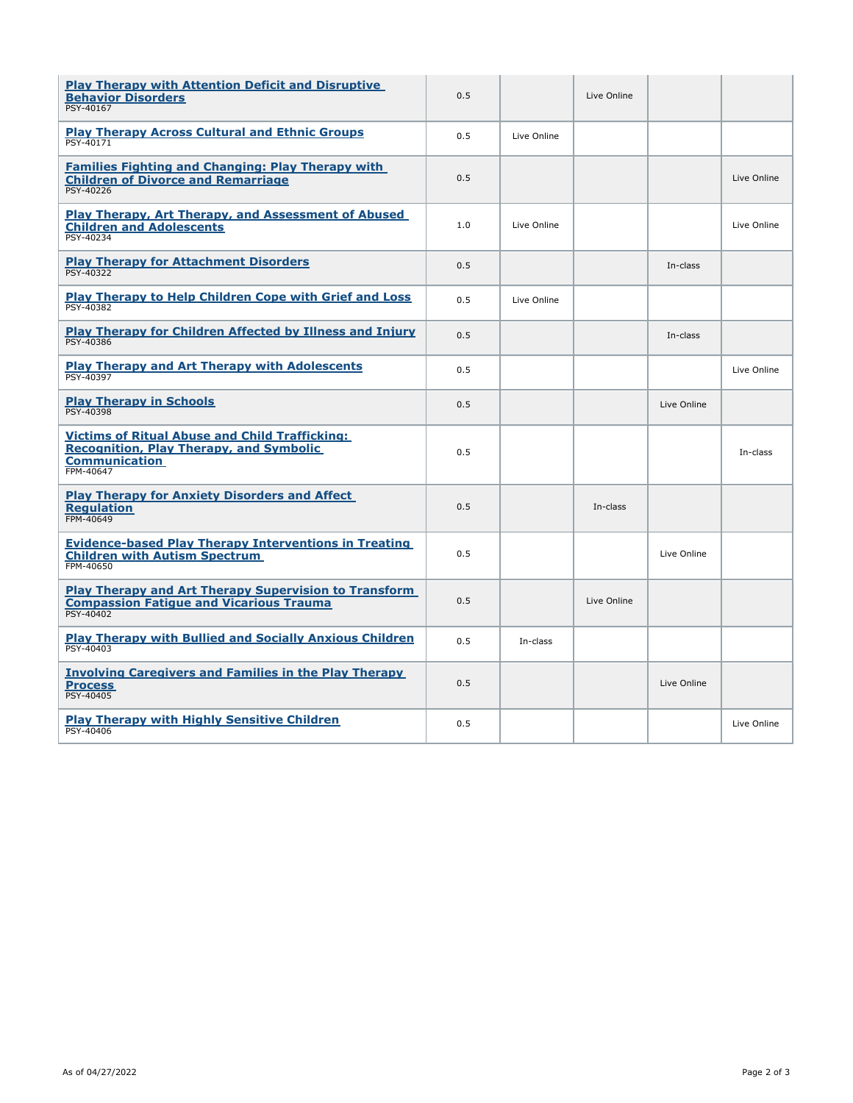| <b>Play Therapy with Attention Deficit and Disruptive</b><br><b>Behavior Disorders</b><br>PSY-40167                                          | 0.5 |             | Live Online |             |             |
|----------------------------------------------------------------------------------------------------------------------------------------------|-----|-------------|-------------|-------------|-------------|
| <b>Play Therapy Across Cultural and Ethnic Groups</b><br>PSY-40171                                                                           | 0.5 | Live Online |             |             |             |
| <b>Families Fighting and Changing: Play Therapy with</b><br><b>Children of Divorce and Remarriage</b><br>PSY-40226                           | 0.5 |             |             |             | Live Online |
| <b>Play Therapy, Art Therapy, and Assessment of Abused</b><br><b>Children and Adolescents</b><br>PSY-40234                                   | 1.0 | Live Online |             |             | Live Online |
| <b>Play Therapy for Attachment Disorders</b><br>PSY-40322                                                                                    | 0.5 |             |             | In-class    |             |
| <b>Play Therapy to Help Children Cope with Grief and Loss</b><br>PSY-40382                                                                   | 0.5 | Live Online |             |             |             |
| <b>Play Therapy for Children Affected by Illness and Injury</b><br>PSY-40386                                                                 | 0.5 |             |             | In-class    |             |
| <b>Play Therapy and Art Therapy with Adolescents</b><br>PSY-40397                                                                            | 0.5 |             |             |             | Live Online |
| <b>Play Therapy in Schools</b><br>PSY-40398                                                                                                  | 0.5 |             |             | Live Online |             |
| <b>Victims of Ritual Abuse and Child Trafficking:</b><br><b>Recognition, Play Therapy, and Symbolic</b><br><b>Communication</b><br>FPM-40647 | 0.5 |             |             |             | In-class    |
| <b>Play Therapy for Anxiety Disorders and Affect</b><br><b>Regulation</b><br>FPM-40649                                                       | 0.5 |             | In-class    |             |             |
| <b>Evidence-based Play Therapy Interventions in Treating</b><br><b>Children with Autism Spectrum</b><br>FPM-40650                            | 0.5 |             |             | Live Online |             |
| <b>Play Therapy and Art Therapy Supervision to Transform</b><br><b>Compassion Fatique and Vicarious Trauma</b><br>PSY-40402                  | 0.5 |             | Live Online |             |             |
| <b>Play Therapy with Bullied and Socially Anxious Children</b><br>PSY-40403                                                                  | 0.5 | In-class    |             |             |             |
| <b>Involving Caregivers and Families in the Play Therapy</b><br><b>Process</b><br>PSY-40405                                                  | 0.5 |             |             | Live Online |             |
| <b>Play Therapy with Highly Sensitive Children</b><br>PSY-40406                                                                              | 0.5 |             |             |             | Live Online |